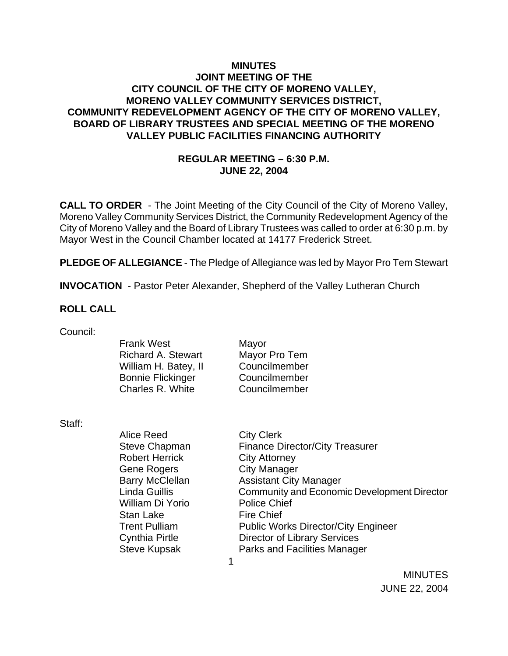### **MINUTES JOINT MEETING OF THE CITY COUNCIL OF THE CITY OF MORENO VALLEY, MORENO VALLEY COMMUNITY SERVICES DISTRICT, COMMUNITY REDEVELOPMENT AGENCY OF THE CITY OF MORENO VALLEY, BOARD OF LIBRARY TRUSTEES AND SPECIAL MEETING OF THE MORENO VALLEY PUBLIC FACILITIES FINANCING AUTHORITY**

### **REGULAR MEETING – 6:30 P.M. JUNE 22, 2004**

**CALL TO ORDER** - The Joint Meeting of the City Council of the City of Moreno Valley, Moreno Valley Community Services District, the Community Redevelopment Agency of the City of Moreno Valley and the Board of Library Trustees was called to order at 6:30 p.m. by Mayor West in the Council Chamber located at 14177 Frederick Street.

**PLEDGE OF ALLEGIANCE** - The Pledge of Allegiance was led by Mayor Pro Tem Stewart

**INVOCATION** - Pastor Peter Alexander, Shepherd of the Valley Lutheran Church

#### **ROLL CALL**

| Council: |  |
|----------|--|
|          |  |

| Mayor         |
|---------------|
| Mayor Pro Tem |
| Councilmember |
| Councilmember |
| Councilmember |
|               |

Staff:

| Alice Reed             | <b>City Clerk</b>                                  |
|------------------------|----------------------------------------------------|
| Steve Chapman          | <b>Finance Director/City Treasurer</b>             |
| <b>Robert Herrick</b>  | <b>City Attorney</b>                               |
| Gene Rogers            | <b>City Manager</b>                                |
| <b>Barry McClellan</b> | <b>Assistant City Manager</b>                      |
| Linda Guillis          | <b>Community and Economic Development Director</b> |
| William Di Yorio       | <b>Police Chief</b>                                |
| Stan Lake              | <b>Fire Chief</b>                                  |
| <b>Trent Pulliam</b>   | <b>Public Works Director/City Engineer</b>         |
| <b>Cynthia Pirtle</b>  | <b>Director of Library Services</b>                |
| <b>Steve Kupsak</b>    | <b>Parks and Facilities Manager</b>                |
|                        |                                                    |
|                        |                                                    |

 MINUTES JUNE 22, 2004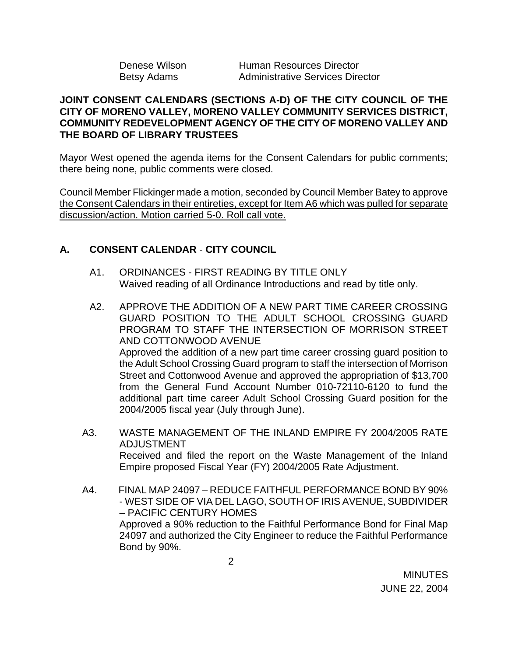| Denese Wilson      |  |
|--------------------|--|
| <b>Betsy Adams</b> |  |

Human Resources Director Administrative Services Director

### **JOINT CONSENT CALENDARS (SECTIONS A-D) OF THE CITY COUNCIL OF THE CITY OF MORENO VALLEY, MORENO VALLEY COMMUNITY SERVICES DISTRICT, COMMUNITY REDEVELOPMENT AGENCY OF THE CITY OF MORENO VALLEY AND THE BOARD OF LIBRARY TRUSTEES**

Mayor West opened the agenda items for the Consent Calendars for public comments; there being none, public comments were closed.

Council Member Flickinger made a motion, seconded by Council Member Batey to approve the Consent Calendars in their entireties, except for Item A6 which was pulled for separate discussion/action. Motion carried 5-0. Roll call vote.

## **A. CONSENT CALENDAR** - **CITY COUNCIL**

- A1. ORDINANCES FIRST READING BY TITLE ONLY Waived reading of all Ordinance Introductions and read by title only.
- A2. APPROVE THE ADDITION OF A NEW PART TIME CAREER CROSSING GUARD POSITION TO THE ADULT SCHOOL CROSSING GUARD PROGRAM TO STAFF THE INTERSECTION OF MORRISON STREET AND COTTONWOOD AVENUE Approved the addition of a new part time career crossing guard position to the Adult School Crossing Guard program to staff the intersection of Morrison Street and Cottonwood Avenue and approved the appropriation of \$13,700 from the General Fund Account Number 010-72110-6120 to fund the additional part time career Adult School Crossing Guard position for the 2004/2005 fiscal year (July through June).
- A3. WASTE MANAGEMENT OF THE INLAND EMPIRE FY 2004/2005 RATE ADJUSTMENT Received and filed the report on the Waste Management of the Inland Empire proposed Fiscal Year (FY) 2004/2005 Rate Adjustment.
- A4. FINAL MAP 24097 REDUCE FAITHFUL PERFORMANCE BOND BY 90% - WEST SIDE OF VIA DEL LAGO, SOUTH OF IRIS AVENUE, SUBDIVIDER – PACIFIC CENTURY HOMES Approved a 90% reduction to the Faithful Performance Bond for Final Map 24097 and authorized the City Engineer to reduce the Faithful Performance Bond by 90%.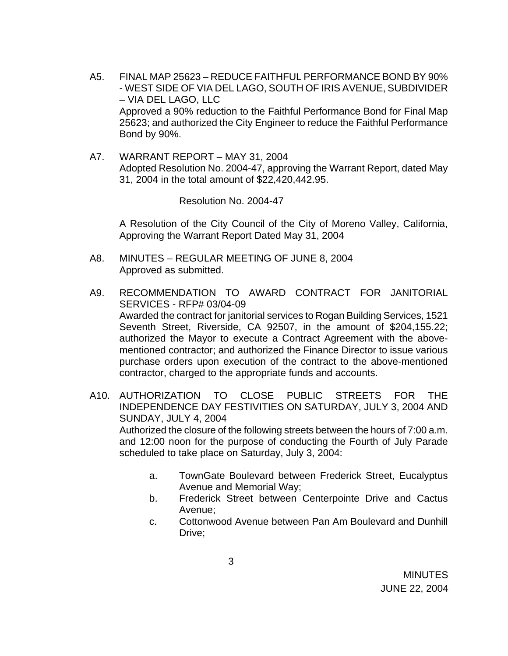- A5. FINAL MAP 25623 REDUCE FAITHFUL PERFORMANCE BOND BY 90% - WEST SIDE OF VIA DEL LAGO, SOUTH OF IRIS AVENUE, SUBDIVIDER – VIA DEL LAGO, LLC Approved a 90% reduction to the Faithful Performance Bond for Final Map 25623; and authorized the City Engineer to reduce the Faithful Performance Bond by 90%.
- A7. WARRANT REPORT MAY 31, 2004 Adopted Resolution No. 2004-47, approving the Warrant Report, dated May 31, 2004 in the total amount of \$22,420,442.95.

Resolution No. 2004-47

A Resolution of the City Council of the City of Moreno Valley, California, Approving the Warrant Report Dated May 31, 2004

- A8. MINUTES REGULAR MEETING OF JUNE 8, 2004 Approved as submitted.
- A9. RECOMMENDATION TO AWARD CONTRACT FOR JANITORIAL SERVICES - RFP# 03/04-09 Awarded the contract for janitorial services to Rogan Building Services, 1521 Seventh Street, Riverside, CA 92507, in the amount of \$204,155.22; authorized the Mayor to execute a Contract Agreement with the abovementioned contractor; and authorized the Finance Director to issue various purchase orders upon execution of the contract to the above-mentioned contractor, charged to the appropriate funds and accounts.
- A10. AUTHORIZATION TO CLOSE PUBLIC STREETS FOR THE INDEPENDENCE DAY FESTIVITIES ON SATURDAY, JULY 3, 2004 AND SUNDAY, JULY 4, 2004 Authorized the closure of the following streets between the hours of 7:00 a.m. and 12:00 noon for the purpose of conducting the Fourth of July Parade scheduled to take place on Saturday, July 3, 2004:
	- a. TownGate Boulevard between Frederick Street, Eucalyptus Avenue and Memorial Way;
	- b. Frederick Street between Centerpointe Drive and Cactus Avenue;
	- c. Cottonwood Avenue between Pan Am Boulevard and Dunhill Drive;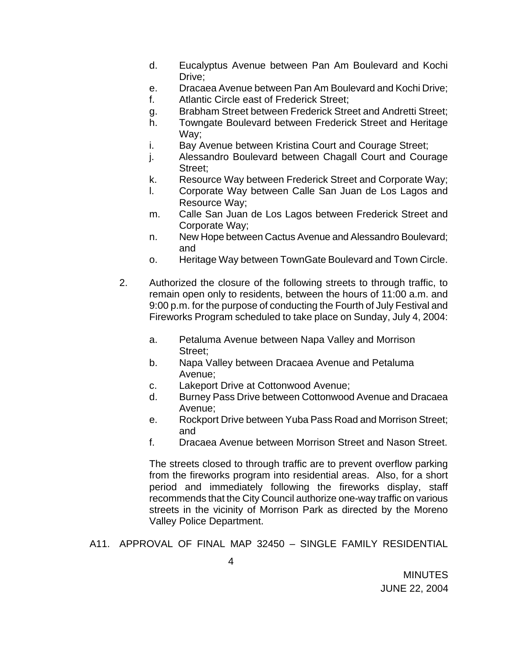- d. Eucalyptus Avenue between Pan Am Boulevard and Kochi Drive:
- e. Dracaea Avenue between Pan Am Boulevard and Kochi Drive;
- f. Atlantic Circle east of Frederick Street;
- g. Brabham Street between Frederick Street and Andretti Street;
- h. Towngate Boulevard between Frederick Street and Heritage Way;
- i. Bay Avenue between Kristina Court and Courage Street;
- j. Alessandro Boulevard between Chagall Court and Courage Street;
- k. Resource Way between Frederick Street and Corporate Way;
- l. Corporate Way between Calle San Juan de Los Lagos and Resource Way;
- m. Calle San Juan de Los Lagos between Frederick Street and Corporate Way;
- n. New Hope between Cactus Avenue and Alessandro Boulevard; and
- o. Heritage Way between TownGate Boulevard and Town Circle.
- 2. Authorized the closure of the following streets to through traffic, to remain open only to residents, between the hours of 11:00 a.m. and 9:00 p.m. for the purpose of conducting the Fourth of July Festival and Fireworks Program scheduled to take place on Sunday, July 4, 2004:
	- a. Petaluma Avenue between Napa Valley and Morrison Street;
	- b. Napa Valley between Dracaea Avenue and Petaluma Avenue;
	- c. Lakeport Drive at Cottonwood Avenue;
	- d. Burney Pass Drive between Cottonwood Avenue and Dracaea Avenue;
	- e. Rockport Drive between Yuba Pass Road and Morrison Street; and
	- f. Dracaea Avenue between Morrison Street and Nason Street.

The streets closed to through traffic are to prevent overflow parking from the fireworks program into residential areas. Also, for a short period and immediately following the fireworks display, staff recommends that the City Council authorize one-way traffic on various streets in the vicinity of Morrison Park as directed by the Moreno Valley Police Department.

A11. APPROVAL OF FINAL MAP 32450 – SINGLE FAMILY RESIDENTIAL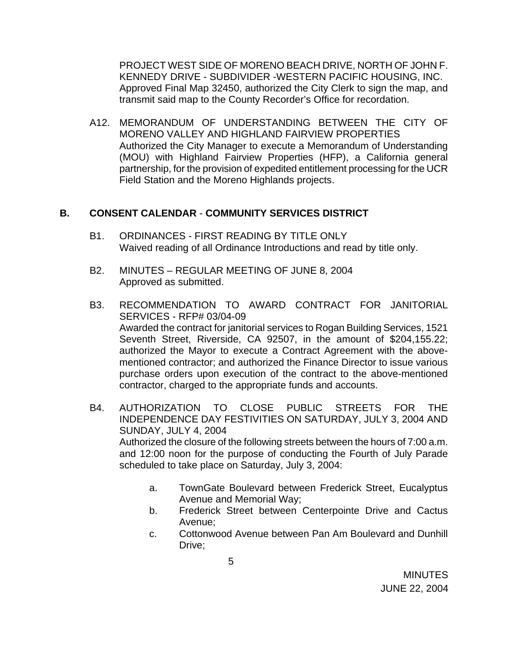PROJECT WEST SIDE OF MORENO BEACH DRIVE, NORTH OF JOHN F. KENNEDY DRIVE - SUBDIVIDER -WESTERN PACIFIC HOUSING, INC. Approved Final Map 32450, authorized the City Clerk to sign the map, and transmit said map to the County Recorder's Office for recordation.

A12. MEMORANDUM OF UNDERSTANDING BETWEEN THE CITY OF MORENO VALLEY AND HIGHLAND FAIRVIEW PROPERTIES Authorized the City Manager to execute a Memorandum of Understanding (MOU) with Highland Fairview Properties (HFP), a California general partnership, for the provision of expedited entitlement processing for the UCR Field Station and the Moreno Highlands projects.

### **B. CONSENT CALENDAR** - **COMMUNITY SERVICES DISTRICT**

- B1. ORDINANCES FIRST READING BY TITLE ONLY Waived reading of all Ordinance Introductions and read by title only.
- B2. MINUTES REGULAR MEETING OF JUNE 8, 2004 Approved as submitted.
- B3. RECOMMENDATION TO AWARD CONTRACT FOR JANITORIAL SERVICES - RFP# 03/04-09 Awarded the contract for janitorial services to Rogan Building Services, 1521 Seventh Street, Riverside, CA 92507, in the amount of \$204,155.22; authorized the Mayor to execute a Contract Agreement with the abovementioned contractor; and authorized the Finance Director to issue various purchase orders upon execution of the contract to the above-mentioned contractor, charged to the appropriate funds and accounts.
- B4. AUTHORIZATION TO CLOSE PUBLIC STREETS FOR THE INDEPENDENCE DAY FESTIVITIES ON SATURDAY, JULY 3, 2004 AND SUNDAY, JULY 4, 2004 Authorized the closure of the following streets between the hours of 7:00 a.m. and 12:00 noon for the purpose of conducting the Fourth of July Parade scheduled to take place on Saturday, July 3, 2004:
	- a. TownGate Boulevard between Frederick Street, Eucalyptus Avenue and Memorial Way;
	- b. Frederick Street between Centerpointe Drive and Cactus Avenue;
	- c. Cottonwood Avenue between Pan Am Boulevard and Dunhill Drive;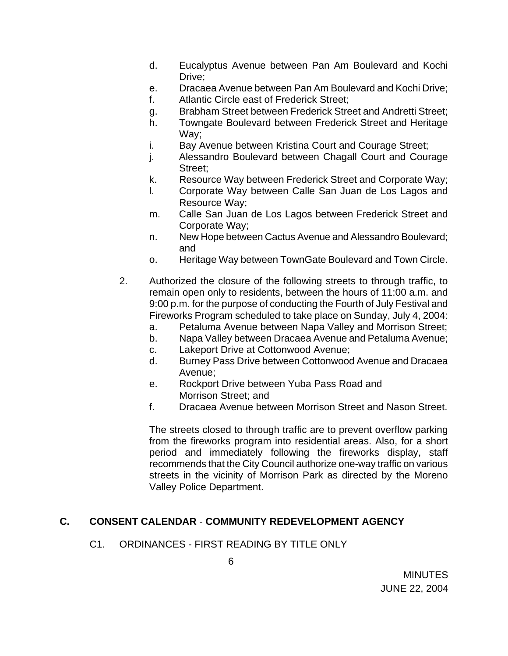- d. Eucalyptus Avenue between Pan Am Boulevard and Kochi Drive:
- e. Dracaea Avenue between Pan Am Boulevard and Kochi Drive;
- f. Atlantic Circle east of Frederick Street;
- g. Brabham Street between Frederick Street and Andretti Street;
- h. Towngate Boulevard between Frederick Street and Heritage Way;
- i. Bay Avenue between Kristina Court and Courage Street;
- j. Alessandro Boulevard between Chagall Court and Courage Street;
- k. Resource Way between Frederick Street and Corporate Way;
- l. Corporate Way between Calle San Juan de Los Lagos and Resource Way;
- m. Calle San Juan de Los Lagos between Frederick Street and Corporate Way;
- n. New Hope between Cactus Avenue and Alessandro Boulevard; and
- o. Heritage Way between TownGate Boulevard and Town Circle.
- 2. Authorized the closure of the following streets to through traffic, to remain open only to residents, between the hours of 11:00 a.m. and 9:00 p.m. for the purpose of conducting the Fourth of July Festival and Fireworks Program scheduled to take place on Sunday, July 4, 2004:
	- a. Petaluma Avenue between Napa Valley and Morrison Street;
	- b. Napa Valley between Dracaea Avenue and Petaluma Avenue;
	- c. Lakeport Drive at Cottonwood Avenue;
	- d. Burney Pass Drive between Cottonwood Avenue and Dracaea Avenue;
	- e. Rockport Drive between Yuba Pass Road and Morrison Street; and
	- f. Dracaea Avenue between Morrison Street and Nason Street.

The streets closed to through traffic are to prevent overflow parking from the fireworks program into residential areas. Also, for a short period and immediately following the fireworks display, staff recommends that the City Council authorize one-way traffic on various streets in the vicinity of Morrison Park as directed by the Moreno Valley Police Department.

## **C. CONSENT CALENDAR** - **COMMUNITY REDEVELOPMENT AGENCY**

### C1. ORDINANCES - FIRST READING BY TITLE ONLY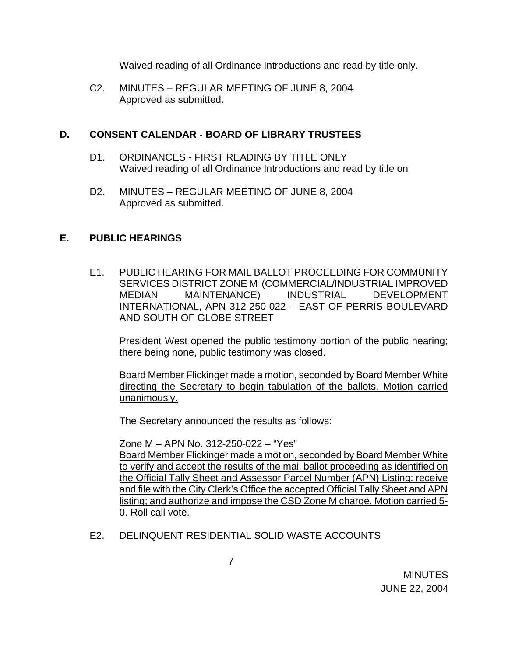Waived reading of all Ordinance Introductions and read by title only.

C2. MINUTES – REGULAR MEETING OF JUNE 8, 2004 Approved as submitted.

# **D. CONSENT CALENDAR** - **BOARD OF LIBRARY TRUSTEES**

- D1. ORDINANCES FIRST READING BY TITLE ONLY Waived reading of all Ordinance Introductions and read by title on
- D2. MINUTES REGULAR MEETING OF JUNE 8, 2004 Approved as submitted.

# **E. PUBLIC HEARINGS**

E1. PUBLIC HEARING FOR MAIL BALLOT PROCEEDING FOR COMMUNITY SERVICES DISTRICT ZONE M (COMMERCIAL/INDUSTRIAL IMPROVED MEDIAN MAINTENANCE) INDUSTRIAL DEVELOPMENT INTERNATIONAL, APN 312-250-022 – EAST OF PERRIS BOULEVARD AND SOUTH OF GLOBE STREET

President West opened the public testimony portion of the public hearing; there being none, public testimony was closed.

 Board Member Flickinger made a motion, seconded by Board Member White directing the Secretary to begin tabulation of the ballots. Motion carried unanimously.

The Secretary announced the results as follows:

 Zone M – APN No. 312-250-022 – "Yes" Board Member Flickinger made a motion, seconded by Board Member White to verify and accept the results of the mail ballot proceeding as identified on the Official Tally Sheet and Assessor Parcel Number (APN) Listing: receive and file with the City Clerk's Office the accepted Official Tally Sheet and APN listing; and authorize and impose the CSD Zone M charge. Motion carried 5- 0. Roll call vote.

E2. DELINQUENT RESIDENTIAL SOLID WASTE ACCOUNTS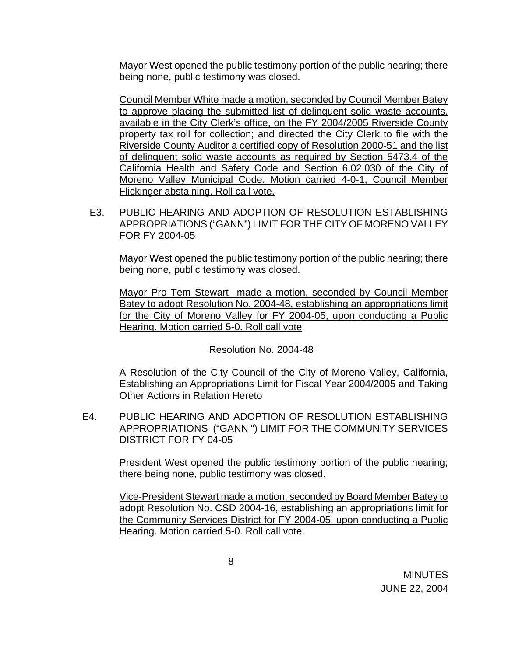Mayor West opened the public testimony portion of the public hearing; there being none, public testimony was closed.

Council Member White made a motion, seconded by Council Member Batey to approve placing the submitted list of delinquent solid waste accounts, available in the City Clerk's office, on the FY 2004/2005 Riverside County property tax roll for collection; and directed the City Clerk to file with the Riverside County Auditor a certified copy of Resolution 2000-51 and the list of delinquent solid waste accounts as required by Section 5473.4 of the California Health and Safety Code and Section 6.02.030 of the City of Moreno Valley Municipal Code. Motion carried 4-0-1, Council Member Flickinger abstaining. Roll call vote.

E3. PUBLIC HEARING AND ADOPTION OF RESOLUTION ESTABLISHING APPROPRIATIONS ("GANN") LIMIT FOR THE CITY OF MORENO VALLEY FOR FY 2004-05

Mayor West opened the public testimony portion of the public hearing; there being none, public testimony was closed.

 Mayor Pro Tem Stewart made a motion, seconded by Council Member Batey to adopt Resolution No. 2004-48, establishing an appropriations limit for the City of Moreno Valley for FY 2004-05, upon conducting a Public Hearing. Motion carried 5-0. Roll call vote

### Resolution No. 2004-48

 A Resolution of the City Council of the City of Moreno Valley, California, Establishing an Appropriations Limit for Fiscal Year 2004/2005 and Taking Other Actions in Relation Hereto

E4. PUBLIC HEARING AND ADOPTION OF RESOLUTION ESTABLISHING APPROPRIATIONS ("GANN ") LIMIT FOR THE COMMUNITY SERVICES DISTRICT FOR FY 04-05

> President West opened the public testimony portion of the public hearing; there being none, public testimony was closed.

> Vice-President Stewart made a motion, seconded by Board Member Batey to adopt Resolution No. CSD 2004-16, establishing an appropriations limit for the Community Services District for FY 2004-05, upon conducting a Public Hearing. Motion carried 5-0. Roll call vote.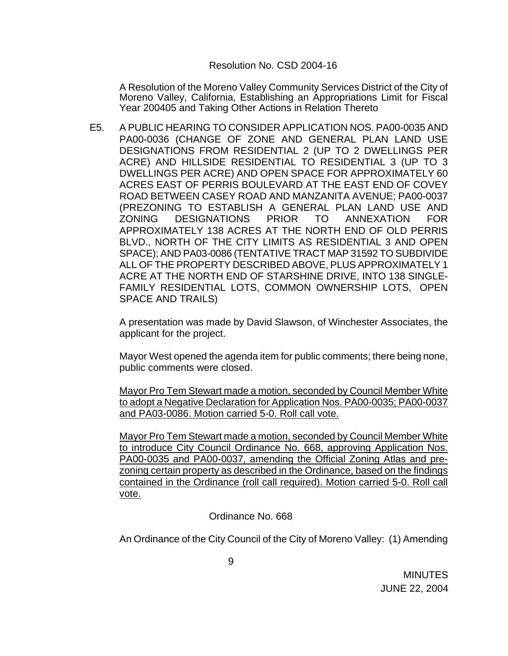#### Resolution No. CSD 2004-16

A Resolution of the Moreno Valley Community Services District of the City of Moreno Valley, California, Establishing an Appropriations Limit for Fiscal Year 200405 and Taking Other Actions in Relation Thereto

E5. A PUBLIC HEARING TO CONSIDER APPLICATION NOS. PA00-0035 AND PA00-0036 (CHANGE OF ZONE AND GENERAL PLAN LAND USE DESIGNATIONS FROM RESIDENTIAL 2 (UP TO 2 DWELLINGS PER ACRE) AND HILLSIDE RESIDENTIAL TO RESIDENTIAL 3 (UP TO 3 DWELLINGS PER ACRE) AND OPEN SPACE FOR APPROXIMATELY 60 ACRES EAST OF PERRIS BOULEVARD AT THE EAST END OF COVEY ROAD BETWEEN CASEY ROAD AND MANZANITA AVENUE; PA00-0037 (PREZONING TO ESTABLISH A GENERAL PLAN LAND USE AND ZONING DESIGNATIONS PRIOR TO ANNEXATION FOR APPROXIMATELY 138 ACRES AT THE NORTH END OF OLD PERRIS BLVD., NORTH OF THE CITY LIMITS AS RESIDENTIAL 3 AND OPEN SPACE); AND PA03-0086 (TENTATIVE TRACT MAP 31592 TO SUBDIVIDE ALL OF THE PROPERTY DESCRIBED ABOVE, PLUS APPROXIMATELY 1 ACRE AT THE NORTH END OF STARSHINE DRIVE, INTO 138 SINGLE-FAMILY RESIDENTIAL LOTS, COMMON OWNERSHIP LOTS, OPEN SPACE AND TRAILS)

 A presentation was made by David Slawson, of Winchester Associates, the applicant for the project.

 Mayor West opened the agenda item for public comments; there being none, public comments were closed.

 Mayor Pro Tem Stewart made a motion, seconded by Council Member White to adopt a Negative Declaration for Application Nos. PA00-0035; PA00-0037 and PA03-0086. Motion carried 5-0. Roll call vote.

Mayor Pro Tem Stewart made a motion, seconded by Council Member White to introduce City Council Ordinance No. 668, approving Application Nos. PA00-0035 and PA00-0037, amending the Official Zoning Atlas and prezoning certain property as described in the Ordinance, based on the findings contained in the Ordinance (roll call required). Motion carried 5-0. Roll call vote.

Ordinance No. 668

An Ordinance of the City Council of the City of Moreno Valley: (1) Amending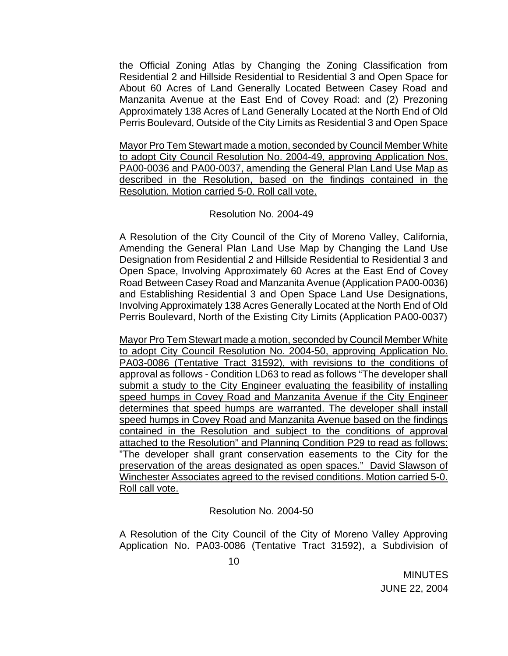the Official Zoning Atlas by Changing the Zoning Classification from Residential 2 and Hillside Residential to Residential 3 and Open Space for About 60 Acres of Land Generally Located Between Casey Road and Manzanita Avenue at the East End of Covey Road: and (2) Prezoning Approximately 138 Acres of Land Generally Located at the North End of Old Perris Boulevard, Outside of the City Limits as Residential 3 and Open Space

Mayor Pro Tem Stewart made a motion, seconded by Council Member White to adopt City Council Resolution No. 2004-49, approving Application Nos. PA00-0036 and PA00-0037, amending the General Plan Land Use Map as described in the Resolution, based on the findings contained in the Resolution. Motion carried 5-0. Roll call vote.

### Resolution No. 2004-49

 A Resolution of the City Council of the City of Moreno Valley, California, Amending the General Plan Land Use Map by Changing the Land Use Designation from Residential 2 and Hillside Residential to Residential 3 and Open Space, Involving Approximately 60 Acres at the East End of Covey Road Between Casey Road and Manzanita Avenue (Application PA00-0036) and Establishing Residential 3 and Open Space Land Use Designations, Involving Approximately 138 Acres Generally Located at the North End of Old Perris Boulevard, North of the Existing City Limits (Application PA00-0037)

Mayor Pro Tem Stewart made a motion, seconded by Council Member White to adopt City Council Resolution No. 2004-50, approving Application No. PA03-0086 (Tentative Tract 31592), with revisions to the conditions of approval as follows - Condition LD63 to read as follows "The developer shall submit a study to the City Engineer evaluating the feasibility of installing speed humps in Covey Road and Manzanita Avenue if the City Engineer determines that speed humps are warranted. The developer shall install speed humps in Covey Road and Manzanita Avenue based on the findings contained in the Resolution and subject to the conditions of approval attached to the Resolution" and Planning Condition P29 to read as follows: "The developer shall grant conservation easements to the City for the preservation of the areas designated as open spaces." David Slawson of Winchester Associates agreed to the revised conditions. Motion carried 5-0. Roll call vote.

Resolution No. 2004-50

 A Resolution of the City Council of the City of Moreno Valley Approving Application No. PA03-0086 (Tentative Tract 31592), a Subdivision of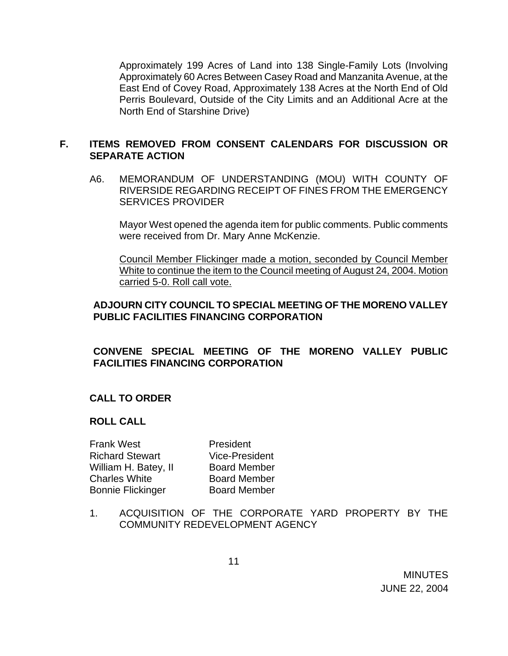Approximately 199 Acres of Land into 138 Single-Family Lots (Involving Approximately 60 Acres Between Casey Road and Manzanita Avenue, at the East End of Covey Road, Approximately 138 Acres at the North End of Old Perris Boulevard, Outside of the City Limits and an Additional Acre at the North End of Starshine Drive)

### **F. ITEMS REMOVED FROM CONSENT CALENDARS FOR DISCUSSION OR SEPARATE ACTION**

A6. MEMORANDUM OF UNDERSTANDING (MOU) WITH COUNTY OF RIVERSIDE REGARDING RECEIPT OF FINES FROM THE EMERGENCY SERVICES PROVIDER

 Mayor West opened the agenda item for public comments. Public comments were received from Dr. Mary Anne McKenzie.

Council Member Flickinger made a motion, seconded by Council Member White to continue the item to the Council meeting of August 24, 2004. Motion carried 5-0. Roll call vote.

### **ADJOURN CITY COUNCIL TO SPECIAL MEETING OF THE MORENO VALLEY PUBLIC FACILITIES FINANCING CORPORATION**

## **CONVENE SPECIAL MEETING OF THE MORENO VALLEY PUBLIC FACILITIES FINANCING CORPORATION**

### **CALL TO ORDER**

### **ROLL CALL**

| <b>Frank West</b>        | President             |
|--------------------------|-----------------------|
| <b>Richard Stewart</b>   | <b>Vice-President</b> |
| William H. Batey, II     | <b>Board Member</b>   |
| <b>Charles White</b>     | <b>Board Member</b>   |
| <b>Bonnie Flickinger</b> | <b>Board Member</b>   |

1. ACQUISITION OF THE CORPORATE YARD PROPERTY BY THE COMMUNITY REDEVELOPMENT AGENCY

 MINUTES JUNE 22, 2004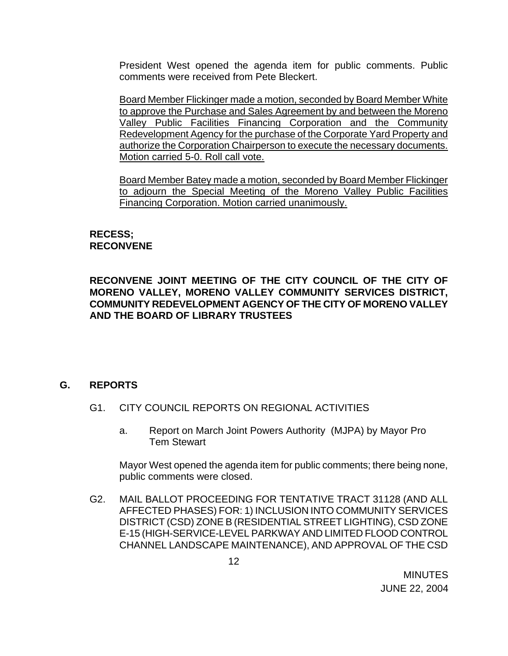President West opened the agenda item for public comments. Public comments were received from Pete Bleckert.

Board Member Flickinger made a motion, seconded by Board Member White to approve the Purchase and Sales Agreement by and between the Moreno Valley Public Facilities Financing Corporation and the Community Redevelopment Agency for the purchase of the Corporate Yard Property and authorize the Corporation Chairperson to execute the necessary documents. Motion carried 5-0. Roll call vote.

Board Member Batey made a motion, seconded by Board Member Flickinger to adjourn the Special Meeting of the Moreno Valley Public Facilities Financing Corporation. Motion carried unanimously.

## **RECESS; RECONVENE**

**RECONVENE JOINT MEETING OF THE CITY COUNCIL OF THE CITY OF MORENO VALLEY, MORENO VALLEY COMMUNITY SERVICES DISTRICT, COMMUNITY REDEVELOPMENT AGENCY OF THE CITY OF MORENO VALLEY AND THE BOARD OF LIBRARY TRUSTEES** 

## **G. REPORTS**

- G1. CITY COUNCIL REPORTS ON REGIONAL ACTIVITIES
	- a. Report on March Joint Powers Authority (MJPA) by Mayor Pro Tem Stewart

 Mayor West opened the agenda item for public comments; there being none, public comments were closed.

G2. MAIL BALLOT PROCEEDING FOR TENTATIVE TRACT 31128 (AND ALL AFFECTED PHASES) FOR: 1) INCLUSION INTO COMMUNITY SERVICES DISTRICT (CSD) ZONE B (RESIDENTIAL STREET LIGHTING), CSD ZONE E-15 (HIGH-SERVICE-LEVEL PARKWAY AND LIMITED FLOOD CONTROL CHANNEL LANDSCAPE MAINTENANCE), AND APPROVAL OF THE CSD

**MINUTES** JUNE 22, 2004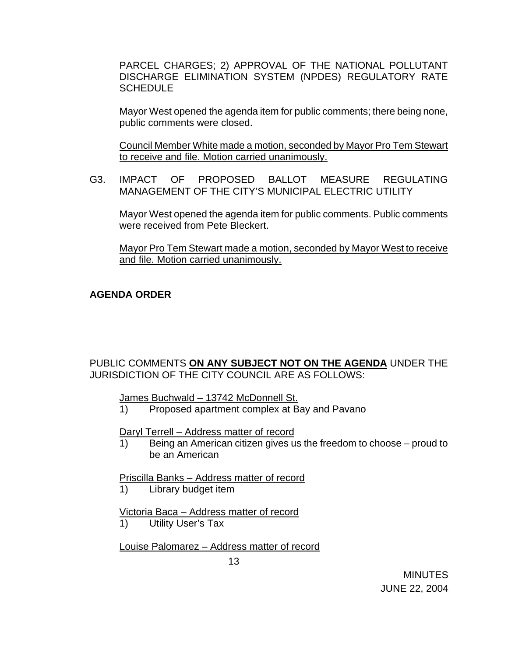PARCEL CHARGES; 2) APPROVAL OF THE NATIONAL POLLUTANT DISCHARGE ELIMINATION SYSTEM (NPDES) REGULATORY RATE **SCHEDULE** 

 Mayor West opened the agenda item for public comments; there being none, public comments were closed.

 Council Member White made a motion, seconded by Mayor Pro Tem Stewart to receive and file. Motion carried unanimously.

 G3. IMPACT OF PROPOSED BALLOT MEASURE REGULATING MANAGEMENT OF THE CITY'S MUNICIPAL ELECTRIC UTILITY

 Mayor West opened the agenda item for public comments. Public comments were received from Pete Bleckert.

 Mayor Pro Tem Stewart made a motion, seconded by Mayor West to receive and file. Motion carried unanimously.

## **AGENDA ORDER**

PUBLIC COMMENTS **ON ANY SUBJECT NOT ON THE AGENDA** UNDER THE JURISDICTION OF THE CITY COUNCIL ARE AS FOLLOWS:

James Buchwald – 13742 McDonnell St.

1) Proposed apartment complex at Bay and Pavano

Daryl Terrell – Address matter of record

1) Being an American citizen gives us the freedom to choose – proud to be an American

Priscilla Banks – Address matter of record

1) Library budget item

Victoria Baca – Address matter of record

1) Utility User's Tax

Louise Palomarez – Address matter of record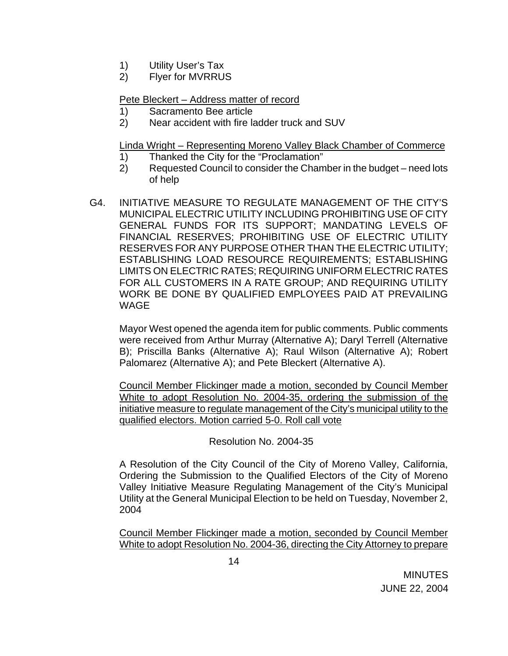- 1) Utility User's Tax
- 2) Flyer for MVRRUS

### Pete Bleckert – Address matter of record

- 1) Sacramento Bee article
- 2) Near accident with fire ladder truck and SUV

### Linda Wright – Representing Moreno Valley Black Chamber of Commerce

- 1) Thanked the City for the "Proclamation"
- 2) Requested Council to consider the Chamber in the budget need lots of help
- G4. INITIATIVE MEASURE TO REGULATE MANAGEMENT OF THE CITY'S MUNICIPAL ELECTRIC UTILITY INCLUDING PROHIBITING USE OF CITY GENERAL FUNDS FOR ITS SUPPORT; MANDATING LEVELS OF FINANCIAL RESERVES; PROHIBITING USE OF ELECTRIC UTILITY RESERVES FOR ANY PURPOSE OTHER THAN THE ELECTRIC UTILITY; ESTABLISHING LOAD RESOURCE REQUIREMENTS; ESTABLISHING LIMITS ON ELECTRIC RATES; REQUIRING UNIFORM ELECTRIC RATES FOR ALL CUSTOMERS IN A RATE GROUP; AND REQUIRING UTILITY WORK BE DONE BY QUALIFIED EMPLOYEES PAID AT PREVAILING **WAGF**

 Mayor West opened the agenda item for public comments. Public comments were received from Arthur Murray (Alternative A); Daryl Terrell (Alternative B); Priscilla Banks (Alternative A); Raul Wilson (Alternative A); Robert Palomarez (Alternative A); and Pete Bleckert (Alternative A).

 Council Member Flickinger made a motion, seconded by Council Member White to adopt Resolution No. 2004-35, ordering the submission of the initiative measure to regulate management of the City's municipal utility to the qualified electors. Motion carried 5-0. Roll call vote

Resolution No. 2004-35

A Resolution of the City Council of the City of Moreno Valley, California, Ordering the Submission to the Qualified Electors of the City of Moreno Valley Initiative Measure Regulating Management of the City's Municipal Utility at the General Municipal Election to be held on Tuesday, November 2, 2004

Council Member Flickinger made a motion, seconded by Council Member White to adopt Resolution No. 2004-36, directing the City Attorney to prepare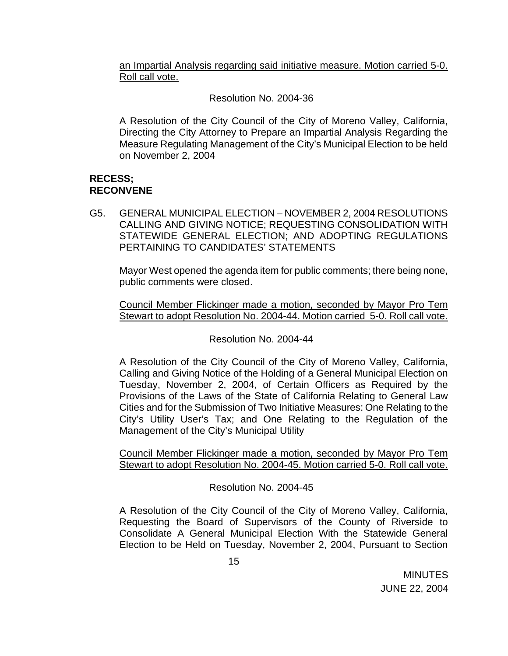an Impartial Analysis regarding said initiative measure. Motion carried 5-0. Roll call vote.

Resolution No. 2004-36

A Resolution of the City Council of the City of Moreno Valley, California, Directing the City Attorney to Prepare an Impartial Analysis Regarding the Measure Regulating Management of the City's Municipal Election to be held on November 2, 2004

## **RECESS; RECONVENE**

G5. GENERAL MUNICIPAL ELECTION – NOVEMBER 2, 2004 RESOLUTIONS CALLING AND GIVING NOTICE; REQUESTING CONSOLIDATION WITH STATEWIDE GENERAL ELECTION; AND ADOPTING REGULATIONS PERTAINING TO CANDIDATES' STATEMENTS

Mayor West opened the agenda item for public comments; there being none, public comments were closed.

Council Member Flickinger made a motion, seconded by Mayor Pro Tem Stewart to adopt Resolution No. 2004-44. Motion carried 5-0. Roll call vote.

Resolution No. 2004-44

 A Resolution of the City Council of the City of Moreno Valley, California, Calling and Giving Notice of the Holding of a General Municipal Election on Tuesday, November 2, 2004, of Certain Officers as Required by the Provisions of the Laws of the State of California Relating to General Law Cities and for the Submission of Two Initiative Measures: One Relating to the City's Utility User's Tax; and One Relating to the Regulation of the Management of the City's Municipal Utility

Council Member Flickinger made a motion, seconded by Mayor Pro Tem Stewart to adopt Resolution No. 2004-45. Motion carried 5-0. Roll call vote.

# Resolution No. 2004-45

A Resolution of the City Council of the City of Moreno Valley, California, Requesting the Board of Supervisors of the County of Riverside to Consolidate A General Municipal Election With the Statewide General Election to be Held on Tuesday, November 2, 2004, Pursuant to Section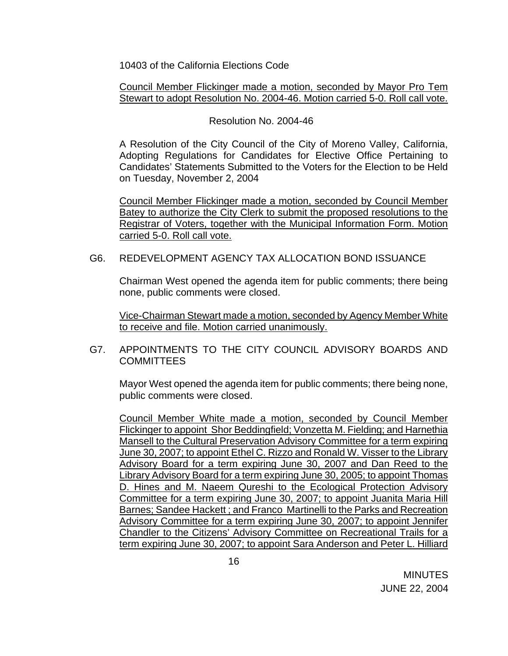10403 of the California Elections Code

Council Member Flickinger made a motion, seconded by Mayor Pro Tem Stewart to adopt Resolution No. 2004-46. Motion carried 5-0. Roll call vote.

### Resolution No. 2004-46

A Resolution of the City Council of the City of Moreno Valley, California, Adopting Regulations for Candidates for Elective Office Pertaining to Candidates' Statements Submitted to the Voters for the Election to be Held on Tuesday, November 2, 2004

Council Member Flickinger made a motion, seconded by Council Member Batey to authorize the City Clerk to submit the proposed resolutions to the Registrar of Voters, together with the Municipal Information Form. Motion carried 5-0. Roll call vote.

### G6. REDEVELOPMENT AGENCY TAX ALLOCATION BOND ISSUANCE

Chairman West opened the agenda item for public comments; there being none, public comments were closed.

 Vice-Chairman Stewart made a motion, seconded by Agency Member White to receive and file. Motion carried unanimously.

### G7. APPOINTMENTS TO THE CITY COUNCIL ADVISORY BOARDS AND **COMMITTEES**

Mayor West opened the agenda item for public comments; there being none, public comments were closed.

 Council Member White made a motion, seconded by Council Member Flickinger to appoint Shor Beddingfield; Vonzetta M. Fielding; and Harnethia Mansell to the Cultural Preservation Advisory Committee for a term expiring June 30, 2007; to appoint Ethel C. Rizzo and Ronald W. Visser to the Library Advisory Board for a term expiring June 30, 2007 and Dan Reed to the Library Advisory Board for a term expiring June 30, 2005; to appoint Thomas D. Hines and M. Naeem Qureshi to the Ecological Protection Advisory Committee for a term expiring June 30, 2007; to appoint Juanita Maria Hill Barnes; Sandee Hackett ; and Franco Martinelli to the Parks and Recreation Advisory Committee for a term expiring June 30, 2007; to appoint Jennifer Chandler to the Citizens' Advisory Committee on Recreational Trails for a term expiring June 30, 2007; to appoint Sara Anderson and Peter L. Hilliard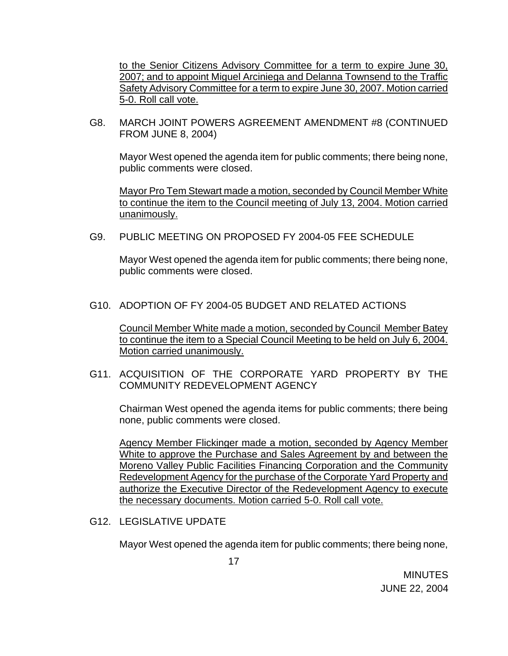to the Senior Citizens Advisory Committee for a term to expire June 30, 2007; and to appoint Miguel Arciniega and Delanna Townsend to the Traffic Safety Advisory Committee for a term to expire June 30, 2007. Motion carried 5-0. Roll call vote.

G8. MARCH JOINT POWERS AGREEMENT AMENDMENT #8 (CONTINUED FROM JUNE 8, 2004)

Mayor West opened the agenda item for public comments; there being none, public comments were closed.

 Mayor Pro Tem Stewart made a motion, seconded by Council Member White to continue the item to the Council meeting of July 13, 2004. Motion carried unanimously.

G9. PUBLIC MEETING ON PROPOSED FY 2004-05 FEE SCHEDULE

Mayor West opened the agenda item for public comments; there being none, public comments were closed.

G10. ADOPTION OF FY 2004-05 BUDGET AND RELATED ACTIONS

 Council Member White made a motion, seconded by Council Member Batey to continue the item to a Special Council Meeting to be held on July 6, 2004. Motion carried unanimously.

G11. ACQUISITION OF THE CORPORATE YARD PROPERTY BY THE COMMUNITY REDEVELOPMENT AGENCY

Chairman West opened the agenda items for public comments; there being none, public comments were closed.

 Agency Member Flickinger made a motion, seconded by Agency Member White to approve the Purchase and Sales Agreement by and between the Moreno Valley Public Facilities Financing Corporation and the Community Redevelopment Agency for the purchase of the Corporate Yard Property and authorize the Executive Director of the Redevelopment Agency to execute the necessary documents. Motion carried 5-0. Roll call vote.

G12. LEGISLATIVE UPDATE

Mayor West opened the agenda item for public comments; there being none,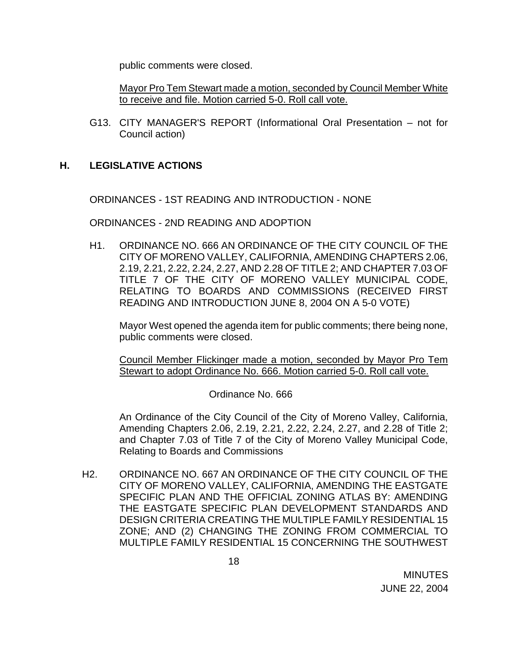public comments were closed.

Mayor Pro Tem Stewart made a motion, seconded by Council Member White to receive and file. Motion carried 5-0. Roll call vote.

 G13. CITY MANAGER'S REPORT (Informational Oral Presentation – not for Council action)

### **H. LEGISLATIVE ACTIONS**

ORDINANCES - 1ST READING AND INTRODUCTION - NONE

ORDINANCES - 2ND READING AND ADOPTION

 H1. ORDINANCE NO. 666 AN ORDINANCE OF THE CITY COUNCIL OF THE CITY OF MORENO VALLEY, CALIFORNIA, AMENDING CHAPTERS 2.06, 2.19, 2.21, 2.22, 2.24, 2.27, AND 2.28 OF TITLE 2; AND CHAPTER 7.03 OF TITLE 7 OF THE CITY OF MORENO VALLEY MUNICIPAL CODE, RELATING TO BOARDS AND COMMISSIONS (RECEIVED FIRST READING AND INTRODUCTION JUNE 8, 2004 ON A 5-0 VOTE)

Mayor West opened the agenda item for public comments; there being none, public comments were closed.

 Council Member Flickinger made a motion, seconded by Mayor Pro Tem Stewart to adopt Ordinance No. 666. Motion carried 5-0. Roll call vote.

### Ordinance No. 666

An Ordinance of the City Council of the City of Moreno Valley, California, Amending Chapters 2.06, 2.19, 2.21, 2.22, 2.24, 2.27, and 2.28 of Title 2; and Chapter 7.03 of Title 7 of the City of Moreno Valley Municipal Code, Relating to Boards and Commissions

H2. ORDINANCE NO. 667 AN ORDINANCE OF THE CITY COUNCIL OF THE CITY OF MORENO VALLEY, CALIFORNIA, AMENDING THE EASTGATE SPECIFIC PLAN AND THE OFFICIAL ZONING ATLAS BY: AMENDING THE EASTGATE SPECIFIC PLAN DEVELOPMENT STANDARDS AND DESIGN CRITERIA CREATING THE MULTIPLE FAMILY RESIDENTIAL 15 ZONE; AND (2) CHANGING THE ZONING FROM COMMERCIAL TO MULTIPLE FAMILY RESIDENTIAL 15 CONCERNING THE SOUTHWEST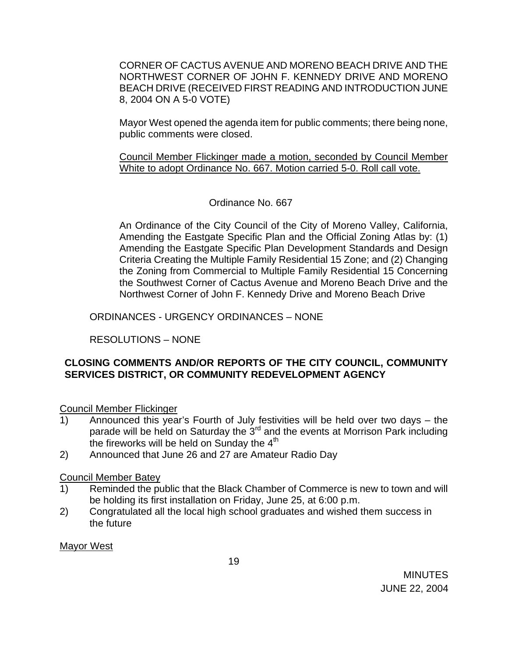CORNER OF CACTUS AVENUE AND MORENO BEACH DRIVE AND THE NORTHWEST CORNER OF JOHN F. KENNEDY DRIVE AND MORENO BEACH DRIVE (RECEIVED FIRST READING AND INTRODUCTION JUNE 8, 2004 ON A 5-0 VOTE)

Mayor West opened the agenda item for public comments; there being none, public comments were closed.

 Council Member Flickinger made a motion, seconded by Council Member White to adopt Ordinance No. 667. Motion carried 5-0. Roll call vote.

# Ordinance No. 667

 An Ordinance of the City Council of the City of Moreno Valley, California, Amending the Eastgate Specific Plan and the Official Zoning Atlas by: (1) Amending the Eastgate Specific Plan Development Standards and Design Criteria Creating the Multiple Family Residential 15 Zone; and (2) Changing the Zoning from Commercial to Multiple Family Residential 15 Concerning the Southwest Corner of Cactus Avenue and Moreno Beach Drive and the Northwest Corner of John F. Kennedy Drive and Moreno Beach Drive

ORDINANCES - URGENCY ORDINANCES – NONE

RESOLUTIONS – NONE

# **CLOSING COMMENTS AND/OR REPORTS OF THE CITY COUNCIL, COMMUNITY SERVICES DISTRICT, OR COMMUNITY REDEVELOPMENT AGENCY**

Council Member Flickinger

- 1) Announced this year's Fourth of July festivities will be held over two days the parade will be held on Saturday the 3<sup>rd</sup> and the events at Morrison Park including the fireworks will be held on Sunday the  $4<sup>th</sup>$
- 2) Announced that June 26 and 27 are Amateur Radio Day

Council Member Batey

- 1) Reminded the public that the Black Chamber of Commerce is new to town and will be holding its first installation on Friday, June 25, at 6:00 p.m.
- 2) Congratulated all the local high school graduates and wished them success in the future

Mayor West